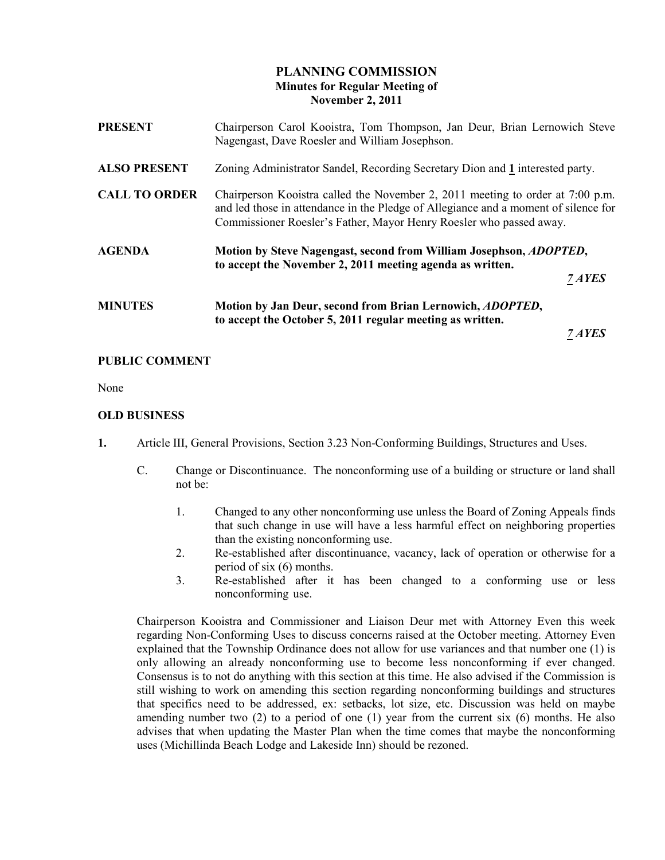# PLANNING COMMISSION Minutes for Regular Meeting of November 2, 2011

| <b>PRESENT</b>       | Chairperson Carol Kooistra, Tom Thompson, Jan Deur, Brian Lernowich Steve<br>Nagengast, Dave Roesler and William Josephson.                                                                                                                  |                      |
|----------------------|----------------------------------------------------------------------------------------------------------------------------------------------------------------------------------------------------------------------------------------------|----------------------|
| <b>ALSO PRESENT</b>  | Zoning Administrator Sandel, Recording Secretary Dion and 1 interested party.                                                                                                                                                                |                      |
| <b>CALL TO ORDER</b> | Chairperson Kooistra called the November 2, 2011 meeting to order at 7:00 p.m.<br>and led those in attendance in the Pledge of Allegiance and a moment of silence for<br>Commissioner Roesler's Father, Mayor Henry Roesler who passed away. |                      |
| <b>AGENDA</b>        | Motion by Steve Nagengast, second from William Josephson, <i>ADOPTED</i> ,<br>to accept the November 2, 2011 meeting agenda as written.                                                                                                      | 7 AYES               |
| <b>MINUTES</b>       | Motion by Jan Deur, second from Brian Lernowich, <i>ADOPTED</i> ,<br>to accept the October 5, 2011 regular meeting as written.                                                                                                               | <i><b>7 AYES</b></i> |
|                      |                                                                                                                                                                                                                                              |                      |

## PUBLIC COMMENT

None

## OLD BUSINESS

- 1. Article III, General Provisions, Section 3.23 Non-Conforming Buildings, Structures and Uses.
	- C. Change or Discontinuance. The nonconforming use of a building or structure or land shall not be:
		- 1. Changed to any other nonconforming use unless the Board of Zoning Appeals finds that such change in use will have a less harmful effect on neighboring properties than the existing nonconforming use.
		- 2. Re-established after discontinuance, vacancy, lack of operation or otherwise for a period of six (6) months.
		- 3. Re-established after it has been changed to a conforming use or less nonconforming use.

 Chairperson Kooistra and Commissioner and Liaison Deur met with Attorney Even this week regarding Non-Conforming Uses to discuss concerns raised at the October meeting. Attorney Even explained that the Township Ordinance does not allow for use variances and that number one (1) is only allowing an already nonconforming use to become less nonconforming if ever changed. Consensus is to not do anything with this section at this time. He also advised if the Commission is still wishing to work on amending this section regarding nonconforming buildings and structures that specifics need to be addressed, ex: setbacks, lot size, etc. Discussion was held on maybe amending number two  $(2)$  to a period of one  $(1)$  year from the current six  $(6)$  months. He also advises that when updating the Master Plan when the time comes that maybe the nonconforming uses (Michillinda Beach Lodge and Lakeside Inn) should be rezoned.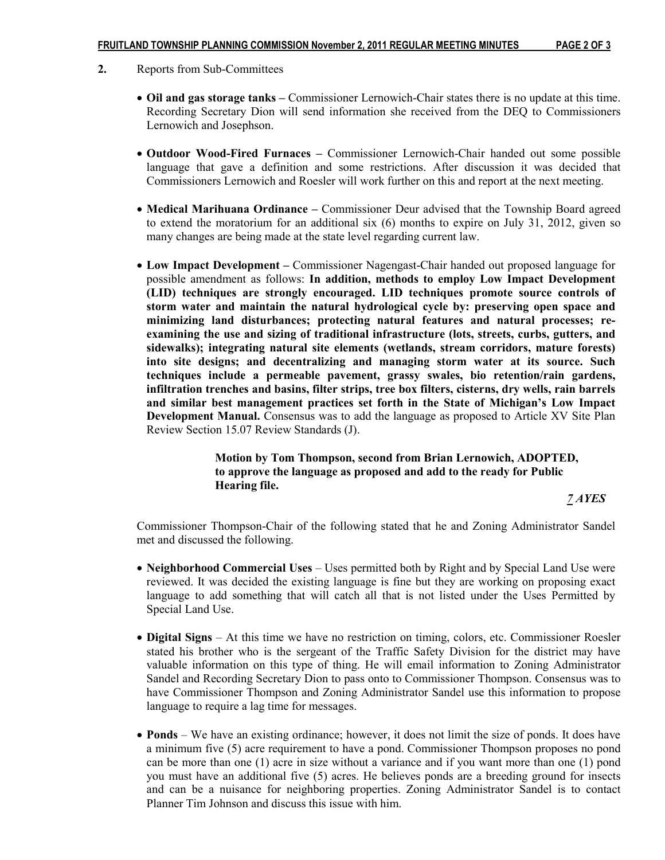- 2. Reports from Sub-Committees
	- Oil and gas storage tanks Commissioner Lernowich-Chair states there is no update at this time. Recording Secretary Dion will send information she received from the DEQ to Commissioners Lernowich and Josephson.
	- Outdoor Wood-Fired Furnaces Commissioner Lernowich-Chair handed out some possible language that gave a definition and some restrictions. After discussion it was decided that Commissioners Lernowich and Roesler will work further on this and report at the next meeting.
	- Medical Marihuana Ordinance Commissioner Deur advised that the Township Board agreed to extend the moratorium for an additional six (6) months to expire on July 31, 2012, given so many changes are being made at the state level regarding current law.
	- Low Impact Development Commissioner Nagengast-Chair handed out proposed language for possible amendment as follows: In addition, methods to employ Low Impact Development (LID) techniques are strongly encouraged. LID techniques promote source controls of storm water and maintain the natural hydrological cycle by: preserving open space and minimizing land disturbances; protecting natural features and natural processes; reexamining the use and sizing of traditional infrastructure (lots, streets, curbs, gutters, and sidewalks); integrating natural site elements (wetlands, stream corridors, mature forests) into site designs; and decentralizing and managing storm water at its source. Such techniques include a permeable pavement, grassy swales, bio retention/rain gardens, infiltration trenches and basins, filter strips, tree box filters, cisterns, dry wells, rain barrels and similar best management practices set forth in the State of Michigan's Low Impact Development Manual. Consensus was to add the language as proposed to Article XV Site Plan Review Section 15.07 Review Standards (J).

 Motion by Tom Thompson, second from Brian Lernowich, ADOPTED, to approve the language as proposed and add to the ready for Public Hearing file. 7 AYES

 Commissioner Thompson-Chair of the following stated that he and Zoning Administrator Sandel met and discussed the following.

- Neighborhood Commercial Uses Uses permitted both by Right and by Special Land Use were reviewed. It was decided the existing language is fine but they are working on proposing exact language to add something that will catch all that is not listed under the Uses Permitted by Special Land Use.
- Digital Signs At this time we have no restriction on timing, colors, etc. Commissioner Roesler stated his brother who is the sergeant of the Traffic Safety Division for the district may have valuable information on this type of thing. He will email information to Zoning Administrator Sandel and Recording Secretary Dion to pass onto to Commissioner Thompson. Consensus was to have Commissioner Thompson and Zoning Administrator Sandel use this information to propose language to require a lag time for messages.
- Ponds We have an existing ordinance; however, it does not limit the size of ponds. It does have a minimum five (5) acre requirement to have a pond. Commissioner Thompson proposes no pond can be more than one (1) acre in size without a variance and if you want more than one (1) pond you must have an additional five (5) acres. He believes ponds are a breeding ground for insects and can be a nuisance for neighboring properties. Zoning Administrator Sandel is to contact Planner Tim Johnson and discuss this issue with him.